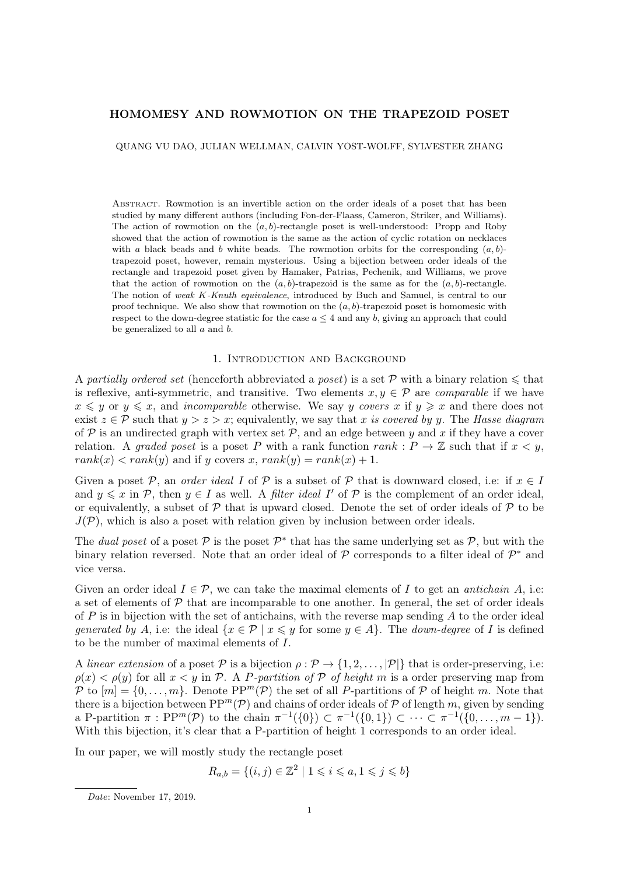## HOMOMESY AND ROWMOTION ON THE TRAPEZOID POSET

QUANG VU DAO, JULIAN WELLMAN, CALVIN YOST-WOLFF, SYLVESTER ZHANG

Abstract. Rowmotion is an invertible action on the order ideals of a poset that has been studied by many different authors (including Fon-der-Flaass, Cameron, Striker, and Williams). The action of rowmotion on the  $(a, b)$ -rectangle poset is well-understood: Propp and Roby showed that the action of rowmotion is the same as the action of cyclic rotation on necklaces with a black beads and b white beads. The rowmotion orbits for the corresponding  $(a, b)$ trapezoid poset, however, remain mysterious. Using a bijection between order ideals of the rectangle and trapezoid poset given by Hamaker, Patrias, Pechenik, and Williams, we prove that the action of rowmotion on the  $(a, b)$ -trapezoid is the same as for the  $(a, b)$ -rectangle. The notion of weak K-Knuth equivalence, introduced by Buch and Samuel, is central to our proof technique. We also show that rowmotion on the  $(a, b)$ -trapezoid poset is homomesic with respect to the down-degree statistic for the case  $a \leq 4$  and any b, giving an approach that could be generalized to all  $a$  and  $b$ .

## 1. Introduction and Background

A partially ordered set (henceforth abbreviated a poset) is a set  $\mathcal P$  with a binary relation  $\leqslant$  that is reflexive, anti-symmetric, and transitive. Two elements  $x, y \in \mathcal{P}$  are *comparable* if we have  $x \leq y$  or  $y \leq x$ , and *incomparable* otherwise. We say y covers x if  $y \geq x$  and there does not exist  $z \in \mathcal{P}$  such that  $y > z > x$ ; equivalently, we say that x is covered by y. The Hasse diagram of  $P$  is an undirected graph with vertex set  $P$ , and an edge between y and x if they have a cover relation. A graded poset is a poset P with a rank function rank :  $P \to \mathbb{Z}$  such that if  $x < y$ ,  $rank(x) < rank(y)$  and if y covers x,  $rank(y) = rank(x) + 1$ .

Given a poset P, an *order ideal I* of P is a subset of P that is downward closed, i.e: if  $x \in I$ and  $y \leqslant x$  in P, then  $y \in I$  as well. A *filter ideal* I' of P is the complement of an order ideal, or equivalently, a subset of  $\mathcal P$  that is upward closed. Denote the set of order ideals of  $\mathcal P$  to be  $J(\mathcal{P})$ , which is also a poset with relation given by inclusion between order ideals.

The dual poset of a poset  $\mathcal{P}$  is the poset  $\mathcal{P}^*$  that has the same underlying set as  $\mathcal{P}$ , but with the binary relation reversed. Note that an order ideal of  $P$  corresponds to a filter ideal of  $P^*$  and vice versa.

Given an order ideal  $I \in \mathcal{P}$ , we can take the maximal elements of I to get an *antichain* A, i.e: a set of elements of  $\mathcal P$  that are incomparable to one another. In general, the set of order ideals of  $P$  is in bijection with the set of antichains, with the reverse map sending  $A$  to the order ideal generated by A, i.e: the ideal  $\{x \in \mathcal{P} \mid x \leq y \text{ for some } y \in A\}$ . The down-degree of I is defined to be the number of maximal elements of I.

A linear extension of a poset  $P$  is a bijection  $\rho : \mathcal{P} \to \{1, 2, \ldots, |\mathcal{P}|\}$  that is order-preserving, i.e:  $\rho(x) < \rho(y)$  for all  $x < y$  in P. A P-partition of P of height m is a order preserving map from P to  $[m] = \{0, \ldots, m\}$ . Denote  $PP^m(\mathcal{P})$  the set of all P-partitions of P of height m. Note that there is a bijection between  $PP^m(\mathcal{P})$  and chains of order ideals of  $\mathcal P$  of length m, given by sending a P-partition  $\pi : \text{PP}^m(\mathcal{P})$  to the chain  $\pi^{-1}(\{0\}) \subset \pi^{-1}(\{0,1\}) \subset \cdots \subset \pi^{-1}(\{0,\ldots,m-1\}).$ With this bijection, it's clear that a P-partition of height 1 corresponds to an order ideal.

In our paper, we will mostly study the rectangle poset

$$
R_{a,b} = \{(i,j) \in \mathbb{Z}^2 \mid 1 \leq i \leq a, 1 \leq j \leq b\}
$$

Date: November 17, 2019.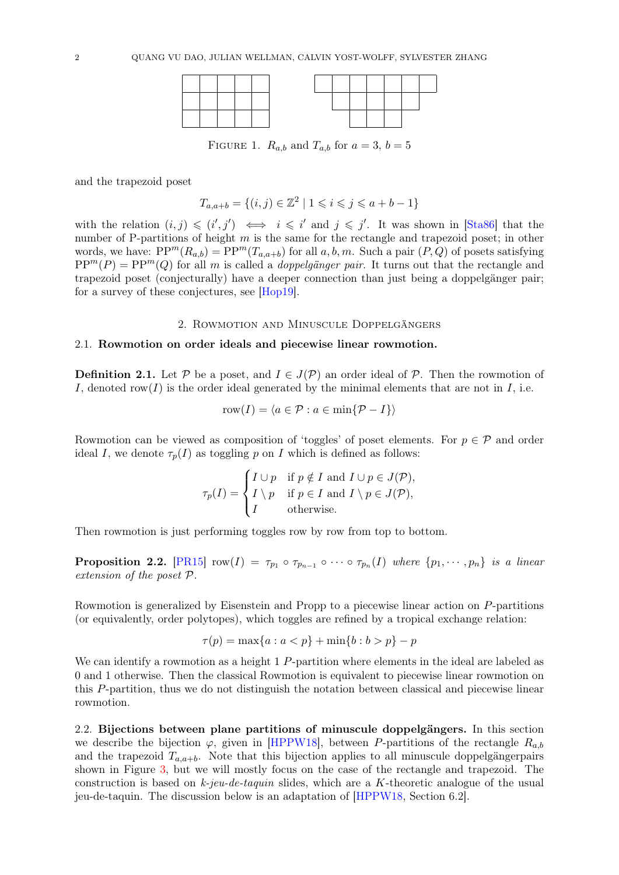

FIGURE 1.  $R_{a,b}$  and  $T_{a,b}$  for  $a=3, b=5$ 

and the trapezoid poset

$$
T_{a,a+b} = \{(i,j) \in \mathbb{Z}^2 \mid 1 \leqslant i \leqslant j \leqslant a+b-1\}
$$

with the relation  $(i, j) \leq (i', j') \iff i \leq i'$  and  $j \leq j'$ . It was shown in [\[Sta86\]](#page-19-0) that the number of P-partitions of height m is the same for the rectangle and trapezoid poset; in other words, we have:  $PP^{m}(R_{a,b}) = PP^{m}(T_{a,a+b})$  for all  $a, b, m$ . Such a pair  $(P,Q)$  of posets satisfying  $PP<sup>m</sup>(P) = PP<sup>m</sup>(Q)$  for all m is called a *doppelgänger pair*. It turns out that the rectangle and trapezoid poset (conjecturally) have a deeper connection than just being a doppelgänger pair; for a survey of these conjectures, see [\[Hop19\]](#page-18-0).

# 2. Rowmotion and Minuscule Doppelgängers

# 2.1. Rowmotion on order ideals and piecewise linear rowmotion.

**Definition 2.1.** Let P be a poset, and  $I \in J(\mathcal{P})$  an order ideal of P. Then the rowmotion of I, denoted row(I) is the order ideal generated by the minimal elements that are not in I, i.e.

$$
row(I) = \langle a \in \mathcal{P} : a \in min\{\mathcal{P} - I\}\rangle
$$

Rowmotion can be viewed as composition of 'toggles' of poset elements. For  $p \in \mathcal{P}$  and order ideal I, we denote  $\tau_p(I)$  as toggling p on I which is defined as follows:

$$
\tau_p(I) = \begin{cases} I \cup p & \text{if } p \notin I \text{ and } I \cup p \in J(\mathcal{P}), \\ I \setminus p & \text{if } p \in I \text{ and } I \setminus p \in J(\mathcal{P}), \\ I & \text{otherwise.} \end{cases}
$$

Then rowmotion is just performing toggles row by row from top to bottom.

**Proposition 2.2.** [\[PR15\]](#page-18-1)  $row(I) = \tau_{p_1} \circ \tau_{p_{n-1}} \circ \cdots \circ \tau_{p_n}(I)$  where  $\{p_1, \dots, p_n\}$  is a linear extension of the poset P.

Rowmotion is generalized by Eisenstein and Propp to a piecewise linear action on P-partitions (or equivalently, order polytopes), which toggles are refined by a tropical exchange relation:

$$
\tau(p) = \max\{a : a < p\} + \min\{b : b > p\} - p
$$

We can identify a rowmotion as a height 1 P-partition where elements in the ideal are labeled as 0 and 1 otherwise. Then the classical Rowmotion is equivalent to piecewise linear rowmotion on this P-partition, thus we do not distinguish the notation between classical and piecewise linear rowmotion.

2.2. Bijections between plane partitions of minuscule doppelgängers. In this section we describe the bijection  $\varphi$ , given in [\[HPPW18\]](#page-18-2), between P-partitions of the rectangle  $R_{a,b}$ and the trapezoid  $T_{a,a+b}$ . Note that this bijection applies to all minuscule doppelgängerpairs shown in Figure [3,](#page-3-0) but we will mostly focus on the case of the rectangle and trapezoid. The construction is based on  $k$ -jeu-de-taquin slides, which are a K-theoretic analogue of the usual jeu-de-taquin. The discussion below is an adaptation of [\[HPPW18,](#page-18-2) Section 6.2].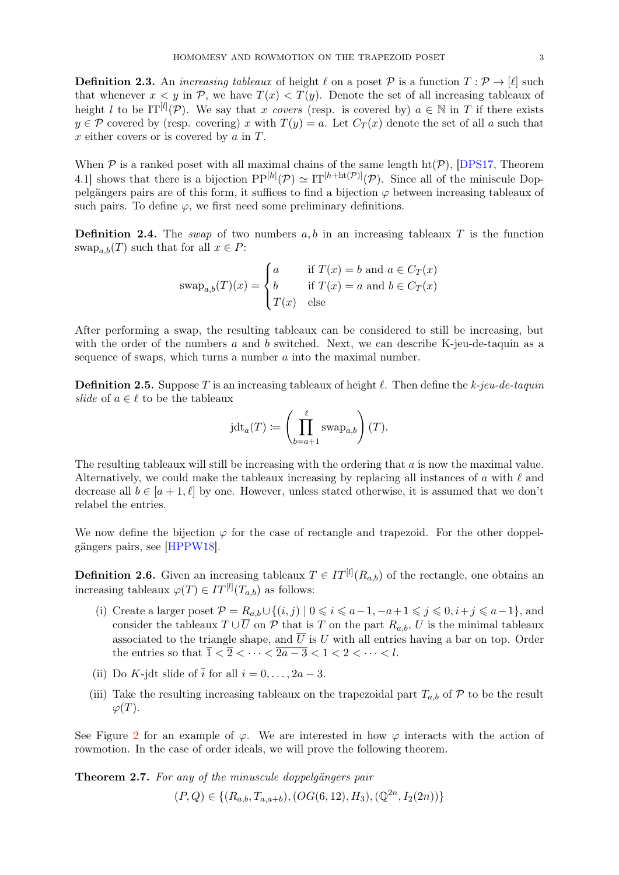**Definition 2.3.** An *increasing tableaux* of height  $\ell$  on a poset P is a function  $T : \mathcal{P} \to [\ell]$  such that whenever  $x < y$  in P, we have  $T(x) < T(y)$ . Denote the set of all increasing tableaux of height l to be  $IT^{[l]}(\mathcal{P})$ . We say that x covers (resp. is covered by)  $a \in \mathbb{N}$  in T if there exists  $y \in \mathcal{P}$  covered by (resp. covering) x with  $T(y) = a$ . Let  $C_T(x)$  denote the set of all a such that  $x$  either covers or is covered by  $a$  in  $T$ .

When  $P$  is a ranked poset with all maximal chains of the same length  $ht(P)$ , [\[DPS17,](#page-18-3) Theorem 4.1] shows that there is a bijection  $PP^{[h]}(\mathcal{P}) \simeq IT^{[h+\text{ht}(\mathcal{P})]}(\mathcal{P})$ . Since all of the miniscule Doppelgängers pairs are of this form, it suffices to find a bijection  $\varphi$  between increasing tableaux of such pairs. To define  $\varphi$ , we first need some preliminary definitions.

**Definition 2.4.** The *swap* of two numbers  $a, b$  in an increasing tableaux T is the function  $\operatorname{swap}_{a,b}(T)$  such that for all  $x \in P$ :

$$
swap_{a,b}(T)(x) = \begin{cases} a & \text{if } T(x) = b \text{ and } a \in C_T(x) \\ b & \text{if } T(x) = a \text{ and } b \in C_T(x) \\ T(x) & \text{else} \end{cases}
$$

After performing a swap, the resulting tableaux can be considered to still be increasing, but with the order of the numbers  $a$  and  $b$  switched. Next, we can describe K-jeu-de-taquin as a sequence of swaps, which turns a number a into the maximal number.

**Definition 2.5.** Suppose T is an increasing tableaux of height  $\ell$ . Then define the k-jeu-de-taquin *slide* of  $a \in \ell$  to be the tableaux

$$
jdt_a(T) := \left(\prod_{b=a+1}^{\ell} \text{swap}_{a,b}\right)(T).
$$

The resulting tableaux will still be increasing with the ordering that a is now the maximal value. Alternatively, we could make the tableaux increasing by replacing all instances of a with  $\ell$  and decrease all  $b \in [a+1, \ell]$  by one. However, unless stated otherwise, it is assumed that we don't relabel the entries.

We now define the bijection  $\varphi$  for the case of rectangle and trapezoid. For the other doppelgängers pairs, see [\[HPPW18\]](#page-18-2).

**Definition 2.6.** Given an increasing tableaux  $T \in IT^{[l]}(R_{a,b})$  of the rectangle, one obtains an increasing tableaux  $\varphi(T) \in IT^{[l]}(T_{a,b})$  as follows:

- (i) Create a larger poset  $\mathcal{P} = R_{a,b} \cup \{(i,j) \mid 0 \leq i \leq a-1, -a+1 \leq j \leq 0, i+j \leq a-1\}$ , and consider the tableaux  $T \cup \overline{U}$  on  $\mathcal P$  that is T on the part  $R_{a,b}$ , U is the minimal tableaux associated to the triangle shape, and  $\overline{U}$  is U with all entries having a bar on top. Order the entries so that  $\overline{1} < \overline{2} < \cdots < \overline{2a-3} < 1 < 2 < \cdots < l$ .
- (ii) Do K-jdt slide of  $\overline{i}$  for all  $i = 0, \ldots, 2a 3$ .
- (iii) Take the resulting increasing tableaux on the trapezoidal part  $T_{a,b}$  of P to be the result  $\varphi(T)$ .

See Figure [2](#page-3-1) for an example of  $\varphi$ . We are interested in how  $\varphi$  interacts with the action of rowmotion. In the case of order ideals, we will prove the following theorem.

<span id="page-2-0"></span>Theorem 2.7. For any of the minuscule doppelgängers pair

$$
(P,Q) \in \{ (R_{a,b}, T_{a,a+b}), (OG(6,12), H_3), (\mathbb{Q}^{2n}, I_2(2n)) \}
$$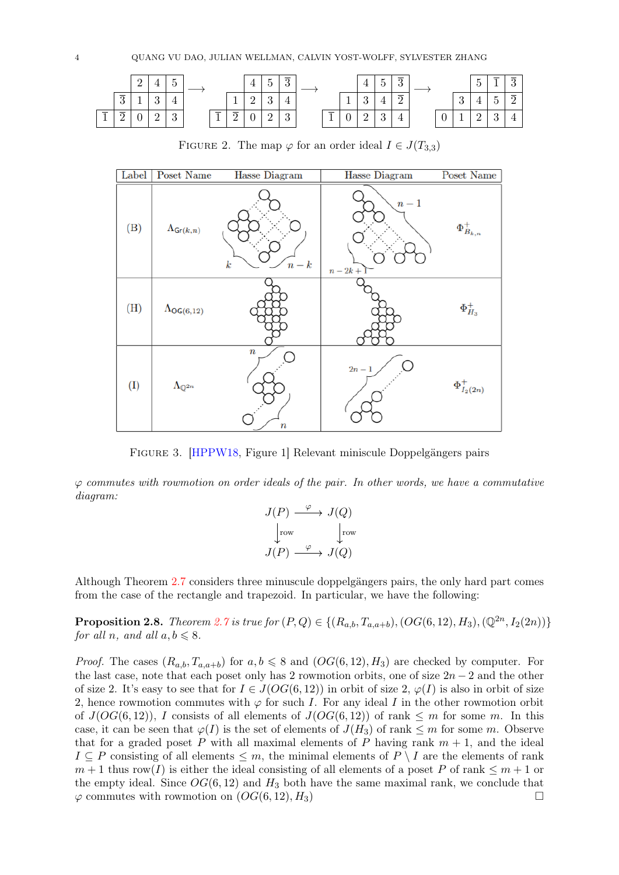<span id="page-3-1"></span>

<span id="page-3-0"></span>Label **Poset Name Hasse Diagram Hasse Diagram** Poset Name  $n-1$  $\Phi_{B_{k,n}}^+$  $(B)$  $\Lambda_{\mathsf{Gr}(k,n)}$  $\boldsymbol{k}$  $n-k$  $n-2k+$  $\Phi_{H_3}^+$  $(H)$  $\Lambda_{OG(6,12)}$  $2n \Phi^+_{I_2(2n)}$  $(I)$  $\Lambda_{\mathbb{O}^{2n}}$  $\overline{n}$ 

FIGURE 2. The map  $\varphi$  for an order ideal  $I \in J(T_{3,3})$ 

Figure 3. [\[HPPW18,](#page-18-2) Figure 1] Relevant miniscule Doppelgängers pairs

 $\varphi$  commutes with rowmotion on order ideals of the pair. In other words, we have a commutative diagram:

$$
J(P) \xrightarrow{\varphi} J(Q)
$$
  
\n
$$
\downarrow \text{row} \qquad \qquad \downarrow \text{row}
$$
  
\n
$$
J(P) \xrightarrow{\varphi} J(Q)
$$

Although Theorem [2.7](#page-2-0) considers three minuscule doppelgängers pairs, the only hard part comes from the case of the rectangle and trapezoid. In particular, we have the following:

<span id="page-3-2"></span>**Proposition 2.8.** Theorem [2.7](#page-2-0) is true for  $(P,Q) \in \{(R_{a,b}, T_{a,a+b}), (OG(6, 12), H_3), (\mathbb{Q}^{2n}, I_2(2n))\}$ for all n, and all  $a, b \leq 8$ .

*Proof.* The cases  $(R_{a,b}, T_{a,a+b})$  for  $a, b \leq 8$  and  $(OG(6, 12), H_3)$  are checked by computer. For the last case, note that each poset only has 2 rowmotion orbits, one of size  $2n-2$  and the other of size 2. It's easy to see that for  $I \in J(OG(6, 12))$  in orbit of size 2,  $\varphi(I)$  is also in orbit of size 2, hence rowmotion commutes with  $\varphi$  for such I. For any ideal I in the other rowmotion orbit of  $J(OG(6, 12))$ , I consists of all elements of  $J(OG(6, 12))$  of rank  $\leq m$  for some m. In this case, it can be seen that  $\varphi(I)$  is the set of elements of  $J(H_3)$  of rank  $\leq m$  for some m. Observe that for a graded poset P with all maximal elements of P having rank  $m + 1$ , and the ideal  $I \subseteq P$  consisting of all elements  $\leq m$ , the minimal elements of  $P \setminus I$  are the elements of rank  $m+1$  thus row(I) is either the ideal consisting of all elements of a poset P of rank  $\leq m+1$  or the empty ideal. Since  $OG(6, 12)$  and  $H_3$  both have the same maximal rank, we conclude that  $\varphi$  commutes with rowmotion on  $(OG(6, 12), H_3)$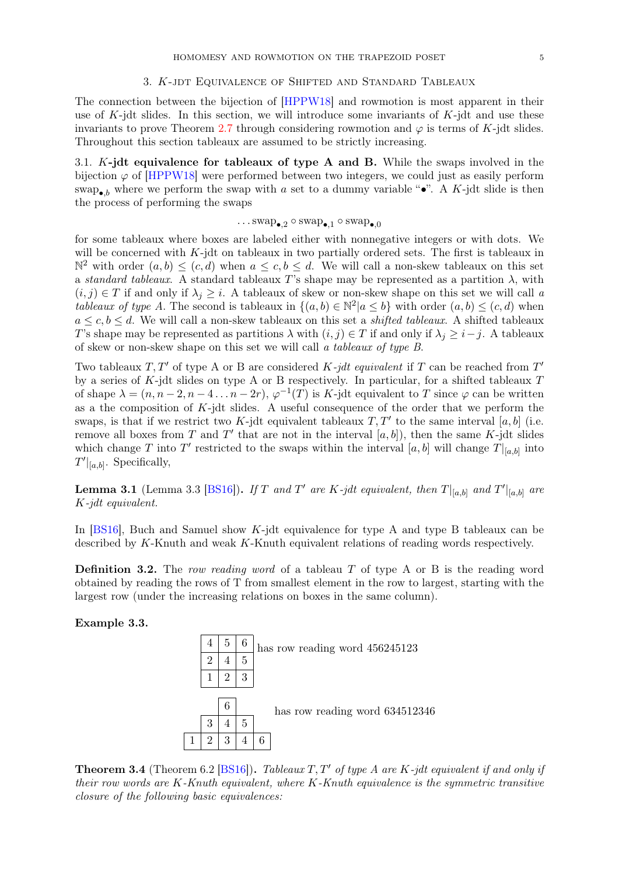## 3. K-jdt Equivalence of Shifted and Standard Tableaux

The connection between the bijection of [\[HPPW18\]](#page-18-2) and rowmotion is most apparent in their use of  $K$ -jdt slides. In this section, we will introduce some invariants of  $K$ -jdt and use these invariants to prove Theorem [2.7](#page-2-0) through considering rowmotion and  $\varphi$  is terms of K-jdt slides. Throughout this section tableaux are assumed to be strictly increasing.

3.1. K-jdt equivalence for tableaux of type A and B. While the swaps involved in the bijection  $\varphi$  of [\[HPPW18\]](#page-18-2) were performed between two integers, we could just as easily perform swap<sub>•b</sub> where we perform the swap with a set to a dummy variable "•". A K-jdt slide is then the process of performing the swaps

# $\dots$ swap<sub>•.2</sub> ◦ swap<sub>•.1</sub> ◦ swap<sub>•.0</sub>

for some tableaux where boxes are labeled either with nonnegative integers or with dots. We will be concerned with  $K$ -jdt on tableaux in two partially ordered sets. The first is tableaux in  $\mathbb{N}^2$  with order  $(a, b) \leq (c, d)$  when  $a \leq c, b \leq d$ . We will call a non-skew tableaux on this set a standard tableaux. A standard tableaux T's shape may be represented as a partition  $\lambda$ , with  $(i, j) \in T$  if and only if  $\lambda_j \geq i$ . A tableaux of skew or non-skew shape on this set we will call a tableaux of type A. The second is tableaux in  $\{(a,b)\in\mathbb{N}^2 | a\leq b\}$  with order  $(a,b)\leq (c,d)$  when  $a \leq c, b \leq d$ . We will call a non-skew tableaux on this set a *shifted tableaux*. A shifted tableaux T's shape may be represented as partitions  $\lambda$  with  $(i, j) \in T$  if and only if  $\lambda_j \geq i - j$ . A tableaux of skew or non-skew shape on this set we will call a tableaux of type B.

Two tableaux  $T, T'$  of type A or B are considered K-jdt equivalent if T can be reached from T' by a series of K-jdt slides on type A or B respectively. In particular, for a shifted tableaux  $T$ of shape  $\lambda = (n, n-2, n-4, \ldots n-2r)$ ,  $\varphi^{-1}(T)$  is K-jdt equivalent to T since  $\varphi$  can be written as a the composition of  $K$ -jdt slides. A useful consequence of the order that we perform the swaps, is that if we restrict two K-jdt equivalent tableaux  $T, T'$  to the same interval [a, b] (i.e. remove all boxes from T and T' that are not in the interval  $[a, b]$ , then the same K-jdt slides which change T into T' restricted to the swaps within the interval  $[a, b]$  will change  $T|_{[a, b]}$  into  $T'|_{[a,b]}$ . Specifically,

<span id="page-4-0"></span>**Lemma 3.1** (Lemma 3.3 [\[BS16\]](#page-18-4)). If T and T' are K-jdt equivalent, then  $T|_{[a,b]}$  and  $T'|_{[a,b]}$  are K-jdt equivalent.

In [\[BS16\]](#page-18-4), Buch and Samuel show K-jdt equivalence for type A and type B tableaux can be described by K-Knuth and weak K-Knuth equivalent relations of reading words respectively.

**Definition 3.2.** The row reading word of a tableau  $T$  of type A or B is the reading word obtained by reading the rows of T from smallest element in the row to largest, starting with the largest row (under the increasing relations on boxes in the same column).

Example 3.3.



**Theorem 3.4** (Theorem 6.2 [\[BS16\]](#page-18-4)). Tableaux T, T' of type A are K-jdt equivalent if and only if their row words are  $K$ -Knuth equivalent, where  $K$ -Knuth equivalence is the symmetric transitive closure of the following basic equivalences: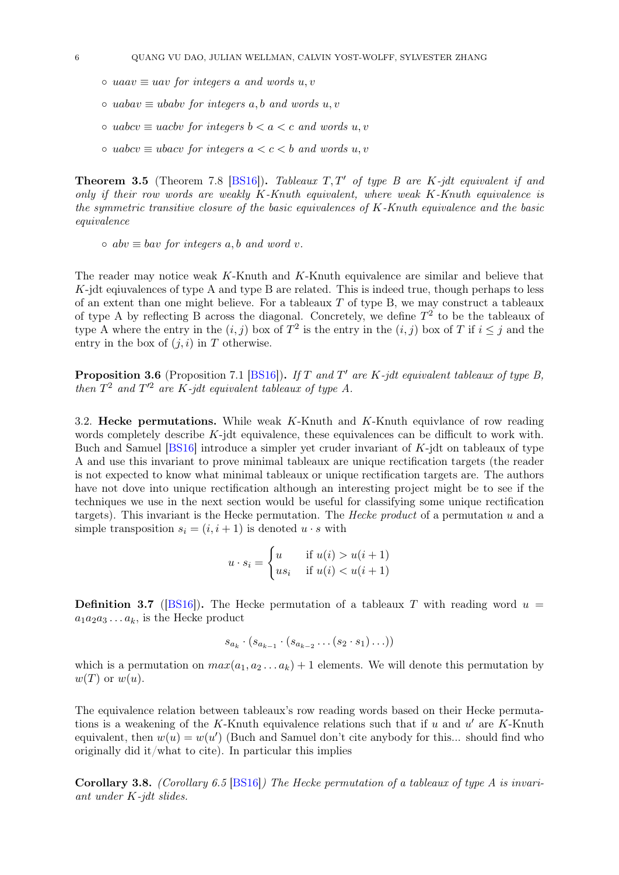- $\circ$  uaav  $\equiv u$  for integers a and words u, v
- $\circ$  uabav  $\equiv$  ubabv for integers a, b and words u, v
- uabcv ≡ uacbv for integers b < a < c and words u, v
- $\circ$  uabcv  $\equiv$  ubacv for integers  $a < c < b$  and words  $u, v$

**Theorem 3.5** (Theorem 7.8 [\[BS16\]](#page-18-4)). Tableaux  $T, T'$  of type B are K-jdt equivalent if and only if their row words are weakly  $K-Knuth$  equivalent, where weak  $K-Knuth$  equivalence is the symmetric transitive closure of the basic equivalences of  $K-Knuth$  equivalence and the basic equivalence

 $\circ$  abv  $\equiv$  bav for integers a, b and word v.

The reader may notice weak K-Knuth and K-Knuth equivalence are similar and believe that  $K$ -jdt equivalences of type A and type B are related. This is indeed true, though perhaps to less of an extent than one might believe. For a tableaux  $T$  of type B, we may construct a tableaux of type A by reflecting B across the diagonal. Concretely, we define  $T^2$  to be the tableaux of type A where the entry in the  $(i, j)$  box of  $T^2$  is the entry in the  $(i, j)$  box of T if  $i \leq j$  and the entry in the box of  $(i, i)$  in T otherwise.

<span id="page-5-1"></span>**Proposition 3.6** (Proposition 7.1 [\[BS16\]](#page-18-4)). If T and T' are K-jdt equivalent tableaux of type B, then  $T^2$  and  $T'^2$  are K-jdt equivalent tableaux of type A.

3.2. Hecke permutations. While weak K-Knuth and K-Knuth equivlance of row reading words completely describe K-jdt equivalence, these equivalences can be difficult to work with. Buch and Samuel [\[BS16\]](#page-18-4) introduce a simpler yet cruder invariant of K-jdt on tableaux of type A and use this invariant to prove minimal tableaux are unique rectification targets (the reader is not expected to know what minimal tableaux or unique rectification targets are. The authors have not dove into unique rectification although an interesting project might be to see if the techniques we use in the next section would be useful for classifying some unique rectification targets). This invariant is the Hecke permutation. The Hecke product of a permutation u and a simple transposition  $s_i = (i, i + 1)$  is denoted  $u \cdot s$  with

$$
u \cdot s_i = \begin{cases} u & \text{if } u(i) > u(i+1) \\ us_i & \text{if } u(i) < u(i+1) \end{cases}
$$

**Definition 3.7** ([\[BS16\]](#page-18-4)). The Hecke permutation of a tableaux T with reading word  $u =$  $a_1a_2a_3\ldots a_k$ , is the Hecke product

$$
s_{a_k} \cdot (s_{a_{k-1}} \cdot (s_{a_{k-2}} \dots (s_2 \cdot s_1) \dots))
$$

which is a permutation on  $max(a_1, a_2, \ldots, a_k) + 1$  elements. We will denote this permutation by  $w(T)$  or  $w(u)$ .

The equivalence relation between tableaux's row reading words based on their Hecke permutations is a weakening of the K-Knuth equivalence relations such that if  $u$  and  $u'$  are K-Knuth equivalent, then  $w(u) = w(u')$  (Buch and Samuel don't cite anybody for this... should find who originally did it/what to cite). In particular this implies

<span id="page-5-0"></span>**Corollary 3.8.** (Corollary 6.5 [\[BS16\]](#page-18-4)) The Hecke permutation of a tableaux of type A is invariant under K-jdt slides.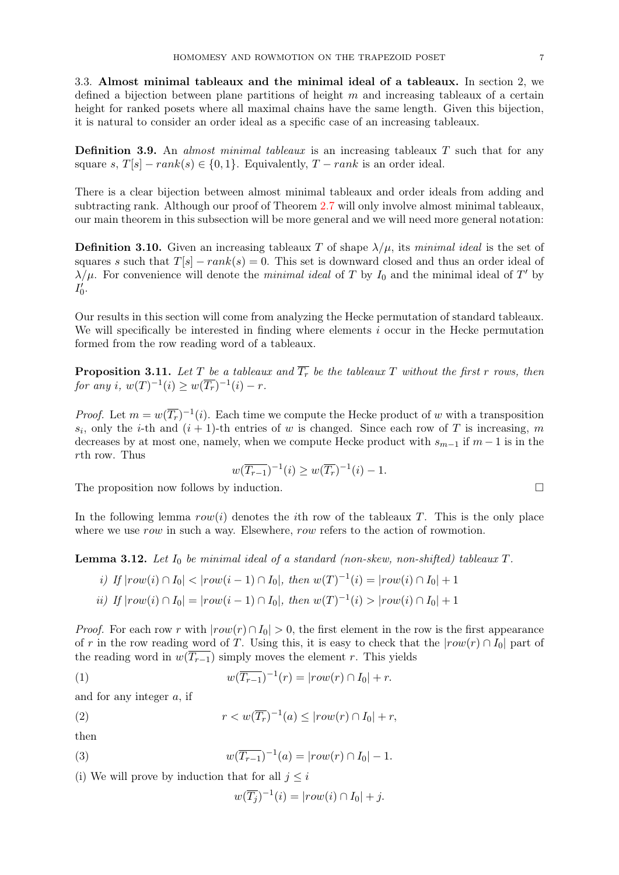3.3. Almost minimal tableaux and the minimal ideal of a tableaux. In section 2, we defined a bijection between plane partitions of height  $m$  and increasing tableaux of a certain height for ranked posets where all maximal chains have the same length. Given this bijection, it is natural to consider an order ideal as a specific case of an increasing tableaux.

**Definition 3.9.** An *almost minimal tableaux* is an increasing tableaux  $T$  such that for any square s,  $T[s]$  –  $rank(s) \in \{0, 1\}$ . Equivalently,  $T - rank$  is an order ideal.

There is a clear bijection between almost minimal tableaux and order ideals from adding and subtracting rank. Although our proof of Theorem [2.7](#page-2-0) will only involve almost minimal tableaux, our main theorem in this subsection will be more general and we will need more general notation:

**Definition 3.10.** Given an increasing tableaux T of shape  $\lambda/\mu$ , its minimal ideal is the set of squares s such that  $T[s] - rank(s) = 0$ . This set is downward closed and thus an order ideal of  $\lambda/\mu$ . For convenience will denote the *minimal ideal* of T by I<sub>0</sub> and the minimal ideal of T' by  $I'_0.$ 

Our results in this section will come from analyzing the Hecke permutation of standard tableaux. We will specifically be interested in finding where elements i occur in the Hecke permutation formed from the row reading word of a tableaux.

<span id="page-6-3"></span>**Proposition 3.11.** Let T be a tableaux and  $\overline{T_r}$  be the tableaux T without the first r rows, then for any i,  $w(T)^{-1}(i) \ge w(\overline{T_r})^{-1}(i) - r$ .

*Proof.* Let  $m = w(\overline{T_r})^{-1}(i)$ . Each time we compute the Hecke product of w with a transposition  $s_i$ , only the *i*-th and  $(i + 1)$ -th entries of w is changed. Since each row of T is increasing, m decreases by at most one, namely, when we compute Hecke product with  $s_{m-1}$  if  $m-1$  is in the rth row. Thus

$$
w(\overline{T_{r-1}})^{-1}(i) \ge w(\overline{T_r})^{-1}(i) - 1.
$$

The proposition now follows by induction.  $\Box$ 

In the following lemma  $row(i)$  denotes the *i*th row of the tableaux T. This is the only place where we use row in such a way. Elsewhere, row refers to the action of rowmotion.

<span id="page-6-4"></span>**Lemma 3.12.** Let  $I_0$  be minimal ideal of a standard (non-skew, non-shifted) tableaux  $T$ .

*i)* If 
$$
|row(i) \cap I_0| < |row(i-1) \cap I_0|
$$
, then  $w(T)^{-1}(i) = |row(i) \cap I_0| + 1$   
*ii)* If  $|row(i) \cap I_0| = |row(i-1) \cap I_0|$ , then  $w(T)^{-1}(i) > |row(i) \cap I_0| + 1$ 

*Proof.* For each row r with  $|row(r) \cap I_0| > 0$ , the first element in the row is the first appearance of r in the row reading word of T. Using this, it is easy to check that the  $|row(r) \cap I_0|$  part of the reading word in  $w(T_{r-1})$  simply moves the element r. This yields

<span id="page-6-0"></span>(1) 
$$
w(\overline{T_{r-1}})^{-1}(r) = |row(r) \cap I_0| + r.
$$

and for any integer  $a$ , if

<span id="page-6-1"></span>(2) 
$$
r < w(\overline{T_r})^{-1}(a) \le |row(r) \cap I_0| + r,
$$

then

<span id="page-6-2"></span>(3) 
$$
w(\overline{T_{r-1}})^{-1}(a) = |row(r) \cap I_0| - 1.
$$

(i) We will prove by induction that for all  $j \leq i$ 

$$
w(\overline{T_j})^{-1}(i) = |row(i) \cap I_0| + j.
$$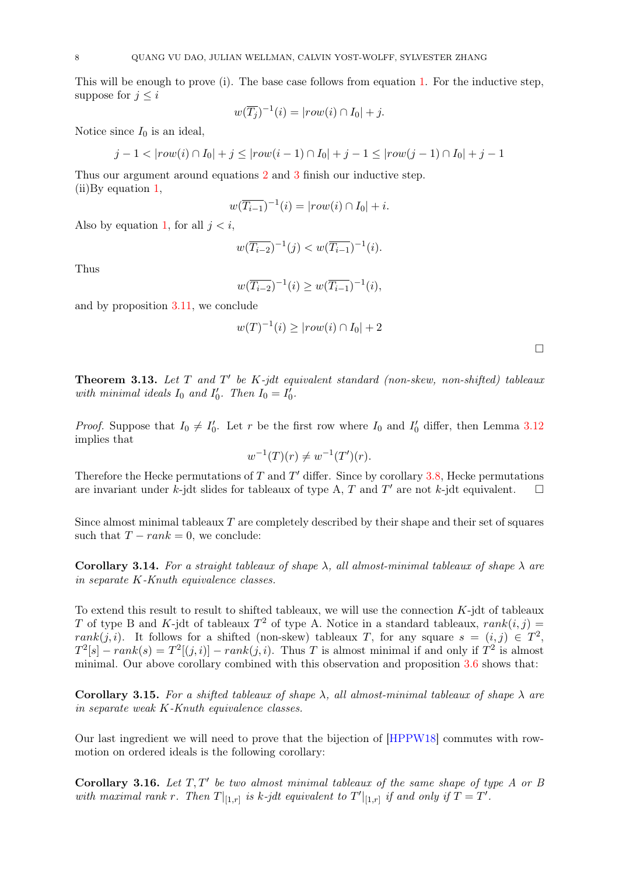This will be enough to prove (i). The base case follows from equation [1.](#page-6-0) For the inductive step, suppose for  $j \leq i$ 

$$
w(\overline{T_j})^{-1}(i) = |row(i) \cap I_0| + j.
$$

Notice since  $I_0$  is an ideal,

$$
j-1 < |row(i) \cap I_0| + j \le |row(i-1) \cap I_0| + j - 1 \le |row(j-1) \cap I_0| + j - 1
$$

Thus our argument around equations [2](#page-6-1) and [3](#page-6-2) finish our inductive step. (ii)By equation [1,](#page-6-0)

$$
w(\overline{T_{i-1}})^{-1}(i) = |row(i) \cap I_0| + i.
$$

Also by equation [1,](#page-6-0) for all  $j < i$ ,

$$
w(\overline{T_{i-2}})^{-1}(j) < w(\overline{T_{i-1}})^{-1}(i).
$$

Thus

$$
w(\overline{T_{i-2}})^{-1}(i) \ge w(\overline{T_{i-1}})^{-1}(i),
$$

and by proposition [3.11,](#page-6-3) we conclude

$$
w(T)^{-1}(i) \ge |row(i) \cap I_0| + 2
$$

<span id="page-7-0"></span>**Theorem 3.13.** Let  $T$  and  $T'$  be  $K$ -jdt equivalent standard (non-skew, non-shifted) tableaux with minimal ideals  $I_0$  and  $I'_0$ . Then  $I_0 = I'_0$ .

*Proof.* Suppose that  $I_0 \neq I'_0$ . Let r be the first row where  $I_0$  and  $I'_0$  differ, then Lemma [3.12](#page-6-4) implies that

$$
w^{-1}(T)(r) \neq w^{-1}(T')(r).
$$

Therefore the Hecke permutations of  $T$  and  $T'$  differ. Since by corollary [3.8,](#page-5-0) Hecke permutations are invariant under k-jdt slides for tableaux of type A, T and T' are not k-jdt equivalent.  $\square$ 

Since almost minimal tableaux  $T$  are completely described by their shape and their set of squares such that  $T - rank = 0$ , we conclude:

Corollary 3.14. For a straight tableaux of shape  $\lambda$ , all almost-minimal tableaux of shape  $\lambda$  are in separate K-Knuth equivalence classes.

To extend this result to result to shifted tableaux, we will use the connection  $K$ -jdt of tableaux T of type B and K-jdt of tableaux  $T^2$  of type A. Notice in a standard tableaux,  $rank(i, j)$ rank $(j, i)$ . It follows for a shifted (non-skew) tableaux T, for any square  $s = (i, j) \in T^2$ ,  $T^2[s] - rank(s) = T^2[(j,i)] - rank(j,i)$ . Thus T is almost minimal if and only if  $T^2$  is almost minimal. Our above corollary combined with this observation and proposition [3.6](#page-5-1) shows that:

Corollary 3.15. For a shifted tableaux of shape  $\lambda$ , all almost-minimal tableaux of shape  $\lambda$  are in separate weak K-Knuth equivalence classes.

Our last ingredient we will need to prove that the bijection of [\[HPPW18\]](#page-18-2) commutes with rowmotion on ordered ideals is the following corollary:

<span id="page-7-1"></span>Corollary 3.16. Let  $T, T'$  be two almost minimal tableaux of the same shape of type A or B with maximal rank r. Then  $T|_{[1,r]}$  is k-jdt equivalent to  $T'|_{[1,r]}$  if and only if  $T = T'$ .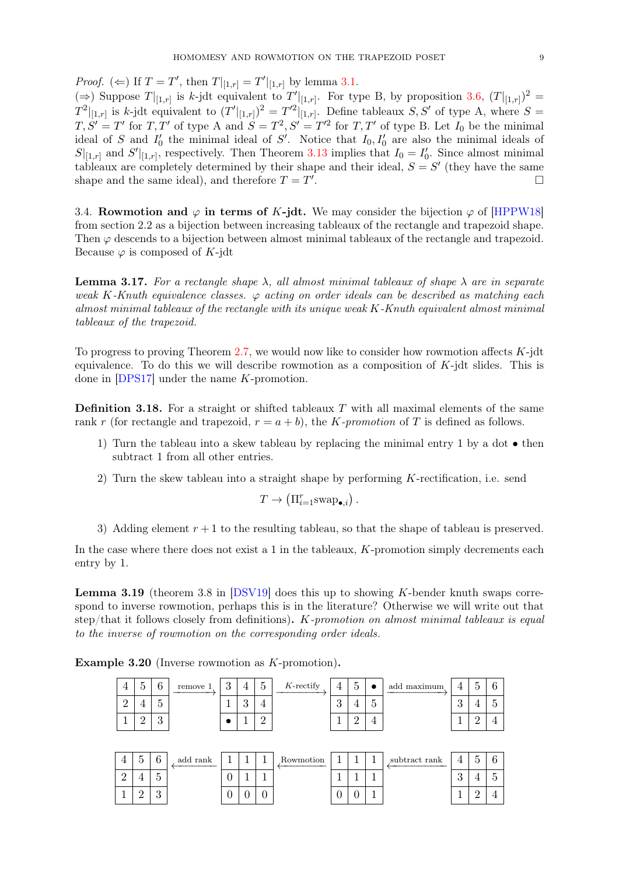*Proof.* ( $\Leftarrow$ ) If  $T = T'$ , then  $T|_{[1,r]} = T'|_{[1,r]}$  by lemma [3.1.](#page-4-0)

(⇒) Suppose  $T|_{[1,r]}$  is k-jdt equivalent to  $T'|_{[1,r]}$ . For type B, by proposition [3.6,](#page-5-1)  $(T|_{[1,r]})^2$  =  $T^2|_{[1,r]}$  is k-jdt equivalent to  $(T'|_{[1,r]})^2 = T'^2|_{[1,r]}$ . Define tableaux S, S' of type A, where  $S =$  $T, S' = T'$  for  $T, T'$  of type A and  $S = T^2, S' = T'^2$  for  $T, T'$  of type B. Let  $I_0$  be the minimal ideal of S and  $I'_0$  the minimal ideal of S'. Notice that  $I_0, I'_0$  are also the minimal ideals of  $S|_{[1,r]}$  and  $S'|_{[1,r]}$ , respectively. Then Theorem [3.13](#page-7-0) implies that  $I_0 = I'_0$ . Since almost minimal tableaux are completely determined by their shape and their ideal,  $S = S'$  (they have the same shape and the same ideal), and therefore  $T = T'$ .

3.4. Rowmotion and  $\varphi$  in terms of K-jdt. We may consider the bijection  $\varphi$  of [\[HPPW18\]](#page-18-2) from section 2.2 as a bijection between increasing tableaux of the rectangle and trapezoid shape. Then  $\varphi$  descends to a bijection between almost minimal tableaux of the rectangle and trapezoid. Because  $\varphi$  is composed of K-jdt

<span id="page-8-0"></span>**Lemma 3.17.** For a rectangle shape  $\lambda$ , all almost minimal tableaux of shape  $\lambda$  are in separate weak K-Knuth equivalence classes.  $\varphi$  acting on order ideals can be described as matching each almost minimal tableaux of the rectangle with its unique weak K-Knuth equivalent almost minimal tableaux of the trapezoid.

To progress to proving Theorem [2.7,](#page-2-0) we would now like to consider how rowmotion affects  $K$ -jdt equivalence. To do this we will describe rowmotion as a composition of  $K$ -jdt slides. This is done in [\[DPS17\]](#page-18-3) under the name K-promotion.

**Definition 3.18.** For a straight or shifted tableaux  $T$  with all maximal elements of the same rank r (for rectangle and trapezoid,  $r = a + b$ ), the K-promotion of T is defined as follows.

- 1) Turn the tableau into a skew tableau by replacing the minimal entry 1 by a dot then subtract 1 from all other entries.
- 2) Turn the skew tableau into a straight shape by performing  $K$ -rectification, i.e. send

 $T \to (\Pi_{i=1}^r \text{swap}_{\bullet,i})$ .

3) Adding element  $r + 1$  to the resulting tableau, so that the shape of tableau is preserved.

In the case where there does not exist a 1 in the tableaux,  $K$ -promotion simply decrements each entry by 1.

**Lemma 3.19** (theorem 3.8 in  $[DSV19]$  does this up to showing K-bender knuth swaps correspond to inverse rowmotion, perhaps this is in the literature? Otherwise we will write out that step/that it follows closely from definitions).  $K$ -promotion on almost minimal tableaux is equal to the inverse of rowmotion on the corresponding order ideals.

| 4              | 5              | 6            | remove 1 | 3            | 4 | 5              | $K$ -rectify | 4 | $\overline{5}$ | $\bullet$      | add maximum   | 4 | 5 |    |
|----------------|----------------|--------------|----------|--------------|---|----------------|--------------|---|----------------|----------------|---------------|---|---|----|
| $\Omega$<br>∠  | $\overline{4}$ | $\mathbf{a}$ |          |              | 3 | $\overline{4}$ |              | 3 | 4              | $\overline{5}$ |               | 3 | 4 | h  |
|                | $\Omega$<br>∠  | 3            |          |              |   | $\Omega$<br>∠  |              |   | റ              | 4              |               |   | റ |    |
|                |                |              |          |              |   |                |              |   |                |                |               |   |   |    |
| $\overline{4}$ | $\ddot{c}$     | 6            | add rank | $\mathbf{I}$ |   |                | Rowmotion    |   |                |                | subtract rank | 4 | 5 |    |
| $\overline{2}$ | 4              | 5            |          | O            |   |                |              |   |                |                |               | 3 | 4 | h, |
|                |                |              |          |              |   |                |              |   |                |                |               |   |   |    |

Example 3.20 (Inverse rowmotion as K-promotion).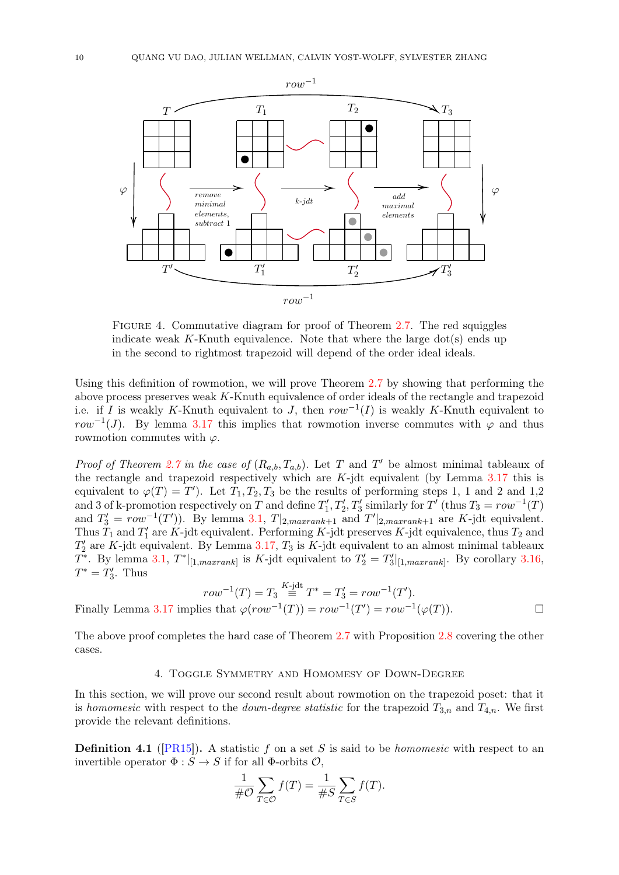

FIGURE 4. Commutative diagram for proof of Theorem [2.7.](#page-2-0) The red squiggles indicate weak  $K$ -Knuth equivalence. Note that where the large dot(s) ends up in the second to rightmost trapezoid will depend of the order ideal ideals.

Using this definition of rowmotion, we will prove Theorem [2.7](#page-2-0) by showing that performing the above process preserves weak K-Knuth equivalence of order ideals of the rectangle and trapezoid i.e. if I is weakly K-Knuth equivalent to J, then  $row^{-1}(I)$  is weakly K-Knuth equivalent to row<sup>-1</sup>(J). By lemma [3.17](#page-8-0) this implies that rowmotion inverse commutes with  $\varphi$  and thus rowmotion commutes with  $\varphi$ .

*Proof of Theorem [2.7](#page-2-0) in the case of*  $(R_{a,b}, T_{a,b})$ . Let T and T' be almost minimal tableaux of the rectangle and trapezoid respectively which are  $K$ -jdt equivalent (by Lemma [3.17](#page-8-0) this is equivalent to  $\varphi(T) = T'$ ). Let  $T_1, T_2, T_3$  be the results of performing steps 1, 1 and 2 and 1,2 and 3 of k-promotion respectively on T and define  $T'_1, T'_2, T'_3$  similarly for T' (thus  $T_3 = row^{-1}(T)$ ) and  $T_3' = row^{-1}(T')$ . By lemma [3.1,](#page-4-0)  $T|_{2,maxrank+1}$  and  $T'|_{2,maxrank+1}$  are K-jdt equivalent. Thus  $T_1$  and  $T_1'$  are K-jdt equivalent. Performing K-jdt preserves K-jdt equivalence, thus  $T_2$  and  $T'_2$  are K-jdt equivalent. By Lemma [3.17,](#page-8-0)  $T_3$  is K-jdt equivalent to an almost minimal tableaux  $T^*$ . By lemma [3.1,](#page-4-0)  $T^*|_{[1,maxrank]}$  is K-jdt equivalent to  $T'_2 = T'_3|_{[1,maxrank]}$ . By corollary [3.16,](#page-7-1)  $T^* = T'_3$ . Thus

$$
row^{-1}(T) = T_3 \stackrel{K-jdt}{=} T^* = T'_3 = row^{-1}(T').
$$
  
.17 implies that  $\varphi(row^{-1}(T)) = row^{-1}(T') = row^{-1}(\varphi(T)).$ 

The above proof completes the hard case of Theorem [2.7](#page-2-0) with Proposition [2.8](#page-3-2) covering the other cases.

## 4. Toggle Symmetry and Homomesy of Down-Degree

In this section, we will prove our second result about rowmotion on the trapezoid poset: that it is homomesic with respect to the *down-degree statistic* for the trapezoid  $T_{3,n}$  and  $T_{4,n}$ . We first provide the relevant definitions.

**Definition 4.1** ([\[PR15\]](#page-18-1)). A statistic f on a set S is said to be *homomesic* with respect to an invertible operator  $\Phi : S \to S$  if for all  $\Phi$ -orbits  $\mathcal{O}$ ,

$$
\frac{1}{\#\mathcal{O}}\sum_{T\in\mathcal{O}}f(T)=\frac{1}{\#S}\sum_{T\in S}f(T).
$$

Finally Lemma 3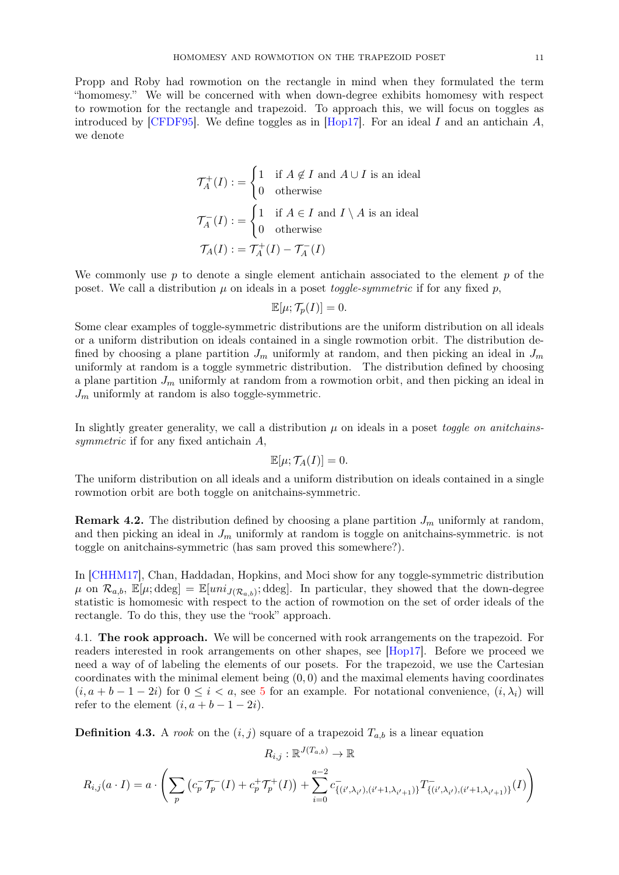Propp and Roby had rowmotion on the rectangle in mind when they formulated the term "homomesy." We will be concerned with when down-degree exhibits homomesy with respect to rowmotion for the rectangle and trapezoid. To approach this, we will focus on toggles as introduced by [\[CFDF95\]](#page-18-6). We define toggles as in [\[Hop17\]](#page-18-7). For an ideal I and an antichain  $A$ , we denote

$$
\mathcal{T}_A^+(I) := \begin{cases} 1 & \text{if } A \notin I \text{ and } A \cup I \text{ is an ideal} \\ 0 & \text{otherwise} \end{cases}
$$

$$
\mathcal{T}_A^-(I) := \begin{cases} 1 & \text{if } A \in I \text{ and } I \setminus A \text{ is an ideal} \\ 0 & \text{otherwise} \end{cases}
$$

$$
\mathcal{T}_A(I) := \mathcal{T}_A^+(I) - \mathcal{T}_A^-(I)
$$

We commonly use  $p$  to denote a single element antichain associated to the element  $p$  of the poset. We call a distribution  $\mu$  on ideals in a poset *toggle-symmetric* if for any fixed p,

$$
\mathbb{E}[\mu; \mathcal{T}_p(I)] = 0.
$$

Some clear examples of toggle-symmetric distributions are the uniform distribution on all ideals or a uniform distribution on ideals contained in a single rowmotion orbit. The distribution defined by choosing a plane partition  $J_m$  uniformly at random, and then picking an ideal in  $J_m$ uniformly at random is a toggle symmetric distribution. The distribution defined by choosing a plane partition  $J_m$  uniformly at random from a rowmotion orbit, and then picking an ideal in  $J_m$  uniformly at random is also toggle-symmetric.

In slightly greater generality, we call a distribution  $\mu$  on ideals in a poset *toggle on anitchains*symmetric if for any fixed antichain  $A$ ,

$$
\mathbb{E}[\mu; \mathcal{T}_A(I)] = 0.
$$

The uniform distribution on all ideals and a uniform distribution on ideals contained in a single rowmotion orbit are both toggle on anitchains-symmetric.

**Remark 4.2.** The distribution defined by choosing a plane partition  $J_m$  uniformly at random, and then picking an ideal in  $J_m$  uniformly at random is toggle on anitchains-symmetric. is not toggle on anitchains-symmetric (has sam proved this somewhere?).

In [\[CHHM17\]](#page-18-8), Chan, Haddadan, Hopkins, and Moci show for any toggle-symmetric distribution  $\mu$  on  $\mathcal{R}_{a,b}$ ,  $\mathbb{E}[\mu;\text{ddeg}] = \mathbb{E}[uni_{J(\mathcal{R}_{a,b})};\text{ddeg}]$ . In particular, they showed that the down-degree statistic is homomesic with respect to the action of rowmotion on the set of order ideals of the rectangle. To do this, they use the "rook" approach.

4.1. The rook approach. We will be concerned with rook arrangements on the trapezoid. For readers interested in rook arrangements on other shapes, see [\[Hop17\]](#page-18-7). Before we proceed we need a way of of labeling the elements of our posets. For the trapezoid, we use the Cartesian coordinates with the minimal element being  $(0, 0)$  and the maximal elements having coordinates  $(i, a + b - 1 - 2i)$  for  $0 \leq i \leq a$ , see [5](#page-11-0) for an example. For notational convenience,  $(i, \lambda_i)$  will refer to the element  $(i, a + b - 1 - 2i)$ .

**Definition 4.3.** A rook on the  $(i, j)$  square of a trapezoid  $T_{a,b}$  is a linear equation

$$
R_{i,j}:\mathbb{R}^{J(T_{a,b})}\to\mathbb{R}
$$

$$
R_{i,j}(a \cdot I) = a \cdot \left( \sum_{p} \left( c_p \mathcal{T}_p^{-}(I) + c_p^{+} \mathcal{T}_p^{+}(I) \right) + \sum_{i=0}^{a-2} c_{\{(i',\lambda_{i'}),(i'+1,\lambda_{i'+1})\}}^{+} T_{\{(i',\lambda_{i'}),(i'+1,\lambda_{i'+1})\}}^{-}(I) \right)
$$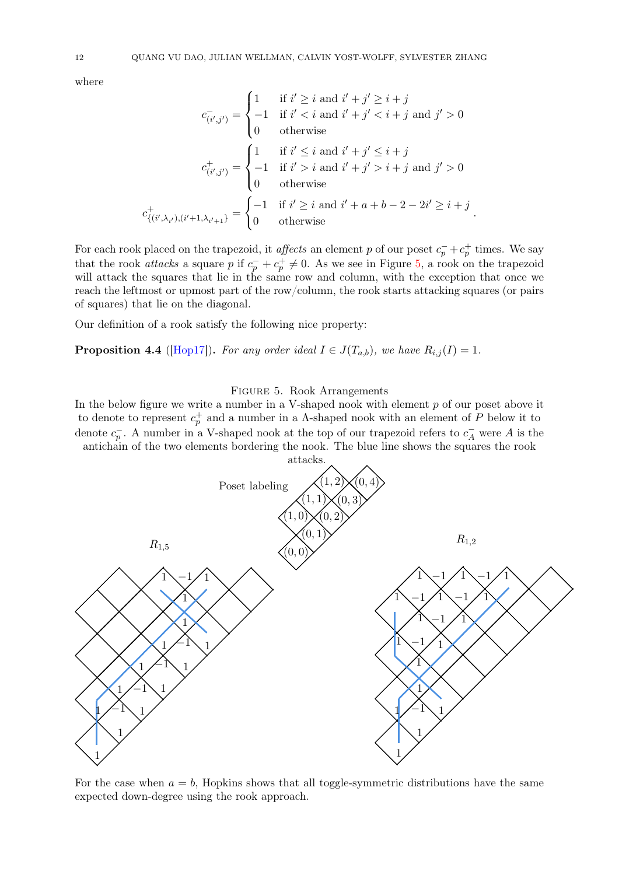where

c

$$
c_{(i',j')}^{-} = \begin{cases} 1 & \text{if } i' \geq i \text{ and } i' + j' \geq i + j \\ -1 & \text{if } i' < i \text{ and } i' + j' < i + j \text{ and } j' > 0 \\ 0 & \text{otherwise} \end{cases}
$$
  

$$
c_{(i',j')}^{+} = \begin{cases} 1 & \text{if } i' \leq i \text{ and } i' + j' \leq i + j \\ -1 & \text{if } i' > i \text{ and } i' + j' > i + j \text{ and } j' > 0 \\ 0 & \text{otherwise} \end{cases}
$$
  

$$
c_{(i',\lambda_{i'}),(i'+1,\lambda_{i'+1})}^{+} = \begin{cases} -1 & \text{if } i' \geq i \text{ and } i' + a + b - 2 - 2i' \geq i + j \\ 0 & \text{otherwise} \end{cases}
$$

For each rook placed on the trapezoid, it *affects* an element p of our poset  $c_p^- + c_p^+$  times. We say that the rook *attacks* a square p if  $c_p^- + c_p^+ \neq 0$ . As we see in Figure [5,](#page-11-0) a rook on the trapezoid will attack the squares that lie in the same row and column, with the exception that once we reach the leftmost or upmost part of the row/column, the rook starts attacking squares (or pairs of squares) that lie on the diagonal.

Our definition of a rook satisfy the following nice property:

<span id="page-11-0"></span>**Proposition 4.4** ([\[Hop17\]](#page-18-7)). For any order ideal  $I \in J(T_{a,b})$ , we have  $R_{i,j}(I) = 1$ .

# Figure 5. Rook Arrangements

In the below figure we write a number in a V-shaped nook with element p of our poset above it to denote to represent  $c_p^+$  and a number in a  $\Lambda$ -shaped nook with an element of P below it to denote  $c_p^-$ . A number in a V-shaped nook at the top of our trapezoid refers to  $c_A^-$  were A is the antichain of the two elements bordering the nook. The blue line shows the squares the rook



For the case when  $a = b$ , Hopkins shows that all toggle-symmetric distributions have the same expected down-degree using the rook approach.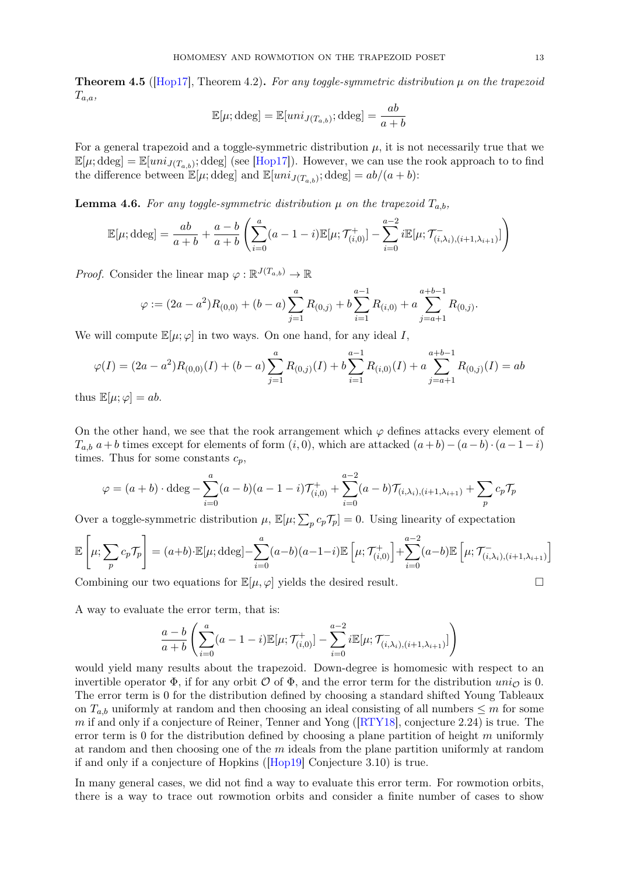**Theorem 4.5** ( $[Hop17]$ , Theorem 4.2). For any toggle-symmetric distribution  $\mu$  on the trapezoid  $T_{a,a}$ 

$$
\mathbb{E}[\mu; \text{ddeg}] = \mathbb{E}[uni_{J(T_{a,b})}; \text{ddeg}] = \frac{ab}{a+b}
$$

For a general trapezoid and a toggle-symmetric distribution  $\mu$ , it is not necessarily true that we  $\mathbb{E}[\mu;\text{ddeg}] = \mathbb{E}[uni_{J(T_{a,b})};\text{ddeg}]$  (see [\[Hop17\]](#page-18-7)). However, we can use the rook approach to to find the difference between  $\mathbb{E}[\mu;\text{ddeg}]$  and  $\mathbb{E}[uni_{J(T_{a,b})};\text{ddeg}] = ab/(a+b)$ :

<span id="page-12-0"></span>**Lemma 4.6.** For any toggle-symmetric distribution  $\mu$  on the trapezoid  $T_{a,b}$ ,

$$
\mathbb{E}[\mu; \text{ddeg}] = \frac{ab}{a+b} + \frac{a-b}{a+b} \left( \sum_{i=0}^{a} (a-1-i) \mathbb{E}[\mu; \mathcal{T}_{(i,0)}^{+}] - \sum_{i=0}^{a-2} i \mathbb{E}[\mu; \mathcal{T}_{(i,\lambda_i),(i+1,\lambda_{i+1})}^{-}] \right)
$$

*Proof.* Consider the linear map  $\varphi : \mathbb{R}^{J(T_{a,b})} \to \mathbb{R}$ 

$$
\varphi := (2a - a^2)R_{(0,0)} + (b - a) \sum_{j=1}^{a} R_{(0,j)} + b \sum_{i=1}^{a-1} R_{(i,0)} + a \sum_{j=a+1}^{a+b-1} R_{(0,j)}.
$$

We will compute  $\mathbb{E}[\mu; \varphi]$  in two ways. On one hand, for any ideal I,

$$
\varphi(I) = (2a - a^2)R_{(0,0)}(I) + (b - a) \sum_{j=1}^{a} R_{(0,j)}(I) + b \sum_{i=1}^{a-1} R_{(i,0)}(I) + a \sum_{j=a+1}^{a+b-1} R_{(0,j)}(I) = ab
$$

thus  $\mathbb{E}[\mu; \varphi] = ab$ .

On the other hand, we see that the rook arrangement which  $\varphi$  defines attacks every element of  $T_{a,b}$  a + b times except for elements of form  $(i, 0)$ , which are attacked  $(a+b)-(a-b)\cdot(a-1-i)$ times. Thus for some constants  $c_p$ ,

$$
\varphi = (a+b) \cdot \text{ddeg} - \sum_{i=0}^{a} (a-b)(a-1-i) \mathcal{T}_{(i,0)}^+ + \sum_{i=0}^{a-2} (a-b) \mathcal{T}_{(i,\lambda_i),(i+1,\lambda_{i+1})} + \sum_{p} c_p \mathcal{T}_p
$$

Over a toggle-symmetric distribution  $\mu$ ,  $\mathbb{E}[\mu;\sum_{p} c_p \mathcal{T}_p] = 0$ . Using linearity of expectation

$$
\mathbb{E}\left[\mu; \sum_{p} c_p \mathcal{T}_p\right] = (a+b) \cdot \mathbb{E}[\mu; \text{ddeg}] - \sum_{i=0}^{a} (a-b)(a-1-i) \mathbb{E}\left[\mu; \mathcal{T}_{(i,0)}^+\right] + \sum_{i=0}^{a-2} (a-b) \mathbb{E}\left[\mu; \mathcal{T}_{(i,\lambda_i),(i+1,\lambda_{i+1})}^-\right]
$$

Combining our two equations for  $\mathbb{E}[\mu,\varphi]$  yields the desired result.

A way to evaluate the error term, that is:

$$
\frac{a-b}{a+b} \left( \sum_{i=0}^{a} (a-1-i) \mathbb{E}[\mu; \mathcal{T}_{(i,0)}^{+}] - \sum_{i=0}^{a-2} i \mathbb{E}[\mu; \mathcal{T}_{(i,\lambda_i),(i+1,\lambda_{i+1})}^{-}] \right)
$$

would yield many results about the trapezoid. Down-degree is homomesic with respect to an invertible operator  $\Phi$ , if for any orbit  $\mathcal O$  of  $\Phi$ , and the error term for the distribution  $univ_{\mathcal O}$  is 0. The error term is 0 for the distribution defined by choosing a standard shifted Young Tableaux on  $T_{a,b}$  uniformly at random and then choosing an ideal consisting of all numbers  $\leq m$  for some m if and only if a conjecture of Reiner, Tenner and Yong ( $\left[\text{RTY18}\right]$ , conjecture 2.24) is true. The error term is 0 for the distribution defined by choosing a plane partition of height  $m$  uniformly at random and then choosing one of the  $m$  ideals from the plane partition uniformly at random if and only if a conjecture of Hopkins ([\[Hop19\]](#page-18-0) Conjecture 3.10) is true.

In many general cases, we did not find a way to evaluate this error term. For rowmotion orbits, there is a way to trace out rowmotion orbits and consider a finite number of cases to show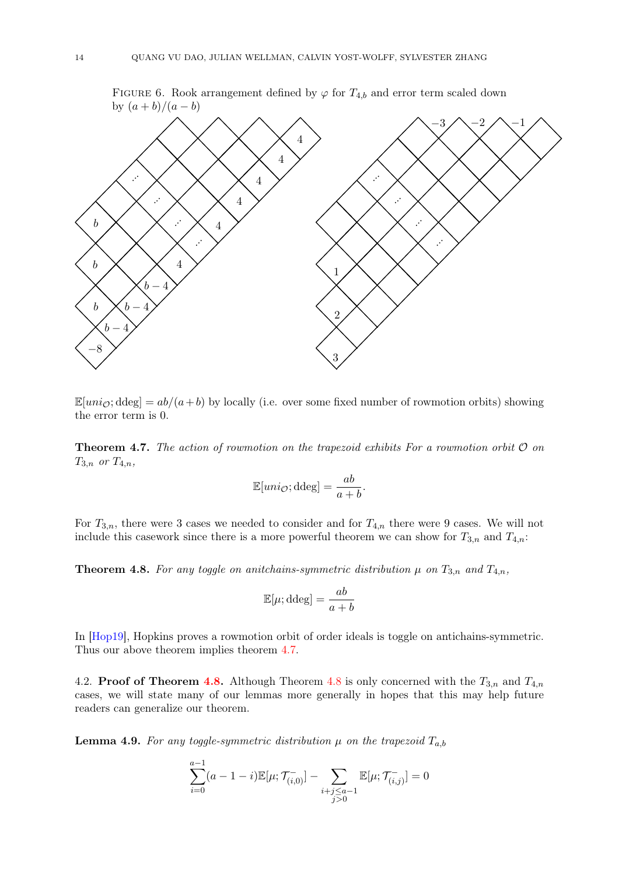



 $\mathbb{E}[uni_{\mathcal{O}}; ddeg] = ab/(a+b)$  by locally (i.e. over some fixed number of rowmotion orbits) showing the error term is 0.

<span id="page-13-0"></span>**Theorem 4.7.** The action of rowmotion on the trapezoid exhibits For a rowmotion orbit  $\mathcal{O}$  on  $T_{3,n}$  or  $T_{4,n}$ ,

$$
\mathbb{E}[uni_{\mathcal{O}}; \mathrm{ddeg}] = \frac{ab}{a+b}.
$$

For  $T_{3,n}$ , there were 3 cases we needed to consider and for  $T_{4,n}$  there were 9 cases. We will not include this casework since there is a more powerful theorem we can show for  $T_{3,n}$  and  $T_{4,n}$ :

<span id="page-13-1"></span>**Theorem 4.8.** For any toggle on anitchains-symmetric distribution  $\mu$  on  $T_{3,n}$  and  $T_{4,n}$ ,

$$
\mathbb{E}[\mu; \mathrm{ddeg}] = \frac{ab}{a+b}
$$

In [\[Hop19\]](#page-18-0), Hopkins proves a rowmotion orbit of order ideals is toggle on antichains-symmetric. Thus our above theorem implies theorem [4.7.](#page-13-0)

4.2. Proof of Theorem [4.8.](#page-13-1) Although Theorem [4.8](#page-13-1) is only concerned with the  $T_{3,n}$  and  $T_{4,n}$ cases, we will state many of our lemmas more generally in hopes that this may help future readers can generalize our theorem.

**Lemma 4.9.** For any toggle-symmetric distribution  $\mu$  on the trapezoid  $T_{a,b}$ 

$$
\sum_{i=0}^{a-1} (a-1-i) \mathbb{E}[\mu; \mathcal{T}_{(i,0)}^-] - \sum_{\substack{i+j \leq a-1 \\ j>0}} \mathbb{E}[\mu; \mathcal{T}_{(i,j)}^-] = 0
$$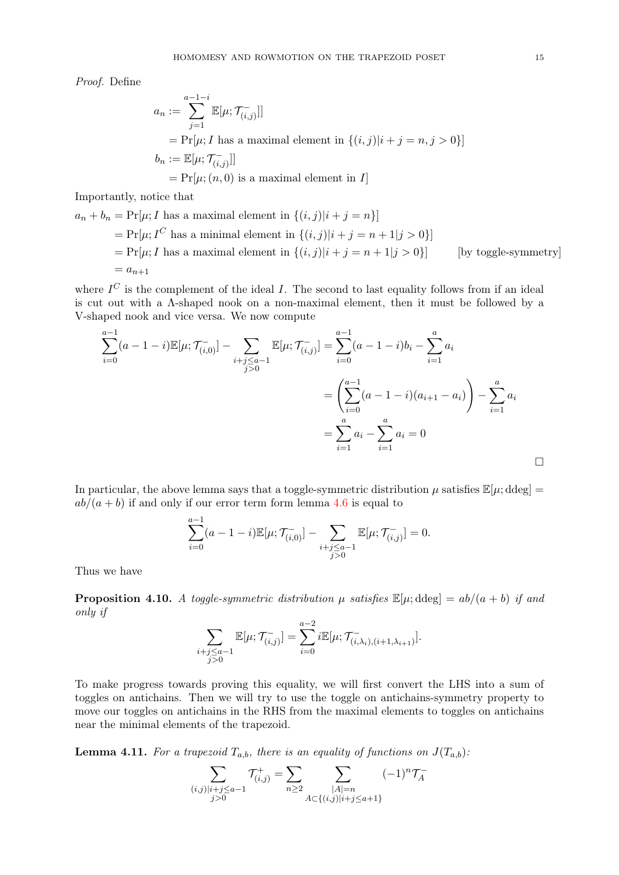Proof. Define

$$
a_n := \sum_{j=1}^{a-1-i} \mathbb{E}[\mu; \mathcal{T}_{(i,j)}^{-}]]
$$
  
=  $\Pr[\mu; I \text{ has a maximal element in } \{(i,j)|i+j=n, j>0\}]$   

$$
b_n := \mathbb{E}[\mu; \mathcal{T}_{(i,j)}^{-}]]
$$
  
=  $\Pr[\mu; (n, 0) \text{ is a maximal element in } I]$ 

Importantly, notice that

$$
a_n + b_n = \Pr[\mu; I \text{ has a maximal element in } \{(i,j)|i+j=n\}]
$$
  
=  $\Pr[\mu; I^C \text{ has a minimal element in } \{(i,j)|i+j=n+1|j>0\}]$   
=  $\Pr[\mu; I \text{ has a maximal element in } \{(i,j)|i+j=n+1|j>0\}]$  [by toggle-symmetry]  
=  $a_{n+1}$ 

where  $I^C$  is the complement of the ideal I. The second to last equality follows from if an ideal is cut out with a Λ-shaped nook on a non-maximal element, then it must be followed by a V-shaped nook and vice versa. We now compute

$$
\sum_{i=0}^{a-1} (a-1-i) \mathbb{E}[\mu; \mathcal{T}_{(i,0)}^-] - \sum_{i+j \le a-1} \mathbb{E}[\mu; \mathcal{T}_{(i,j)}^-] = \sum_{i=0}^{a-1} (a-1-i)b_i - \sum_{i=1}^a a_i
$$
  
= 
$$
\left(\sum_{i=0}^{a-1} (a-1-i)(a_{i+1} - a_i)\right) - \sum_{i=1}^a a_i
$$
  
= 
$$
\sum_{i=1}^a a_i - \sum_{i=1}^a a_i = 0
$$

In particular, the above lemma says that a toggle-symmetric distribution  $\mu$  satisfies  $\mathbb{E}[\mu;\text{ddeg}] =$  $ab/(a + b)$  if and only if our error term form lemma [4.6](#page-12-0) is equal to

$$
\sum_{i=0}^{a-1} (a-1-i) \mathbb{E}[\mu; \mathcal{T}_{(i,0)}^-] - \sum_{\substack{i+j \leq a-1 \\ j>0}} \mathbb{E}[\mu; \mathcal{T}_{(i,j)}^-] = 0.
$$

Thus we have

Xa−1

<span id="page-14-0"></span>**Proposition 4.10.** A toggle-symmetric distribution  $\mu$  satisfies  $\mathbb{E}[\mu; ddeg] = ab/(a+b)$  if and only if

$$
\sum_{\substack{i+j \leq a-1 \\ j>0}} \mathbb{E}[\mu; \mathcal{T}^-_{(i,j)}] = \sum_{i=0}^{a-2} i \mathbb{E}[\mu; \mathcal{T}^-_{(i,\lambda_i),(i+1,\lambda_{i+1})}].
$$

To make progress towards proving this equality, we will first convert the LHS into a sum of toggles on antichains. Then we will try to use the toggle on antichains-symmetry property to move our toggles on antichains in the RHS from the maximal elements to toggles on antichains near the minimal elements of the trapezoid.

**Lemma 4.11.** For a trapezoid  $T_{a,b}$ , there is an equality of functions on  $J(T_{a,b})$ :

$$
\sum_{\substack{(i,j)|i+j\le a-1\\j>0}} \mathcal{T}_{(i,j)}^+ = \sum_{n\ge 2} \sum_{\substack{|A|=n\\A\subset \{(i,j)|i+j\le a+1\}}} (-1)^n \mathcal{T}_A^-
$$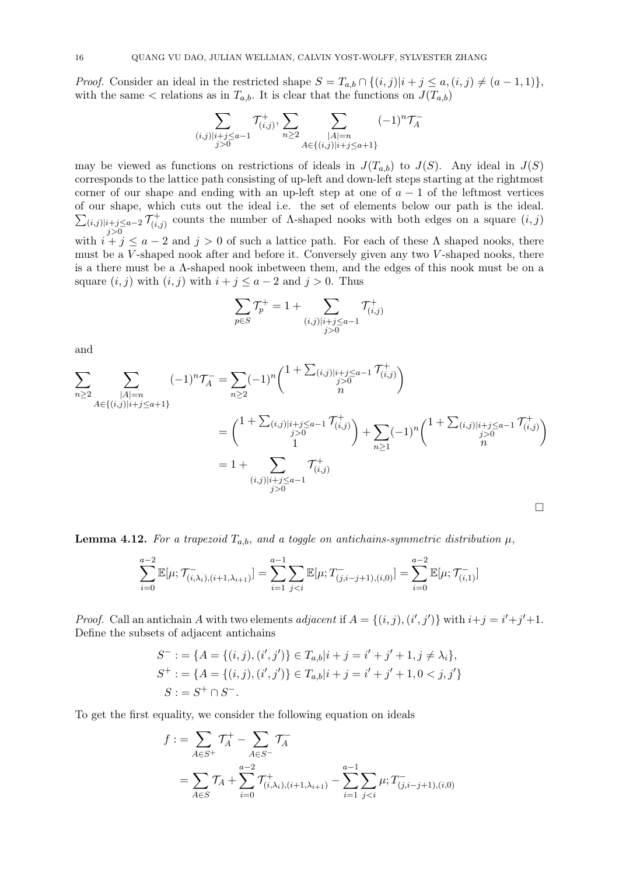*Proof.* Consider an ideal in the restricted shape  $S = T_{a,b} \cap \{(i,j)|i+j \leq a, (i,j) \neq (a-1,1)\}\,$ with the same  $\lt$  relations as in  $T_{a,b}$ . It is clear that the functions on  $J(T_{a,b})$ 

$$
\sum_{\substack{(i,j)|i+j\le a-1\\j>0}} T^+_{(i,j)}, \sum_{n\ge 2} \sum_{\substack{|A|=n\\A\in\{(i,j)|i+j\le a+1\}}} (-1)^n \mathcal{T}^-_A
$$

may be viewed as functions on restrictions of ideals in  $J(T_{a,b})$  to  $J(S)$ . Any ideal in  $J(S)$ corresponds to the lattice path consisting of up-left and down-left steps starting at the rightmost corner of our shape and ending with an up-left step at one of  $a - 1$  of the leftmost vertices of our shape, which cuts out the ideal i.e. the set of elements below our path is the ideal.  $\sum_{(i,j)|i+j\leq a-2}\mathcal{T}_{(i)}^+$ with  $i + j \le a - 2$  and  $j > 0$  of such a lattice path. For each of these  $\Lambda$  shaped nooks, there  $\widetilde{c}^+_{(i,j)}$  counts the number of Λ-shaped nooks with both edges on a square  $(i,j)$ must be a V-shaped nook after and before it. Conversely given any two V-shaped nooks, there is a there must be a Λ-shaped nook inbetween them, and the edges of this nook must be on a square  $(i, j)$  with  $(i, j)$  with  $i + j \le a - 2$  and  $j > 0$ . Thus

$$
\sum_{p \in S} \mathcal{T}_p^+ = 1 + \sum_{\substack{(i,j) \mid i+j \le a-1 \\ j>0}} \mathcal{T}_{(i,j)}^+
$$

and

$$
\sum_{n\geq 2} \sum_{\substack{|A|=n\\ A\in\{(i,j)|i+j\leq a+1\}}} (-1)^n \mathcal{T}_A^- = \sum_{n\geq 2} (-1)^n {1 + \sum_{(i,j)|i+j\leq a-1} \mathcal{T}_{(i,j)}^+ \choose j>0}
$$
\n
$$
= {1 + \sum_{(i,j)|i+j\leq a-1} \mathcal{T}_{(i,j)}^+ \choose j} + \sum_{n\geq 1} (-1)^n {1 + \sum_{(i,j)|i+j\leq a-1} \mathcal{T}_{(i,j)}^+ \choose j>0}
$$
\n
$$
= 1 + \sum_{(i,j)|i+j\leq a-1} \mathcal{T}_{(i,j)}^+ \tag{1}
$$

<span id="page-15-0"></span>**Lemma 4.12.** For a trapezoid  $T_{a,b}$ , and a toggle on antichains-symmetric distribution  $\mu$ ,

$$
\sum_{i=0}^{a-2} \mathbb{E}[\mu; \mathcal{T}^{-}_{(i,\lambda_i),(i+1,\lambda_{i+1})}] = \sum_{i=1}^{a-1} \sum_{j
$$

*Proof.* Call an antichain A with two elements adjacent if  $A = \{(i, j), (i', j')\}$  with  $i + j = i' + j' + 1$ . Define the subsets of adjacent antichains

$$
S^- := \{ A = \{ (i, j), (i', j') \} \in T_{a,b} | i + j = i' + j' + 1, j \neq \lambda_i \},
$$
  
\n
$$
S^+ := \{ A = \{ (i, j), (i', j') \} \in T_{a,b} | i + j = i' + j' + 1, 0 < j, j' \}
$$
  
\n
$$
S := S^+ \cap S^-.
$$

To get the first equality, we consider the following equation on ideals

$$
f := \sum_{A \in S^{+}} \mathcal{T}_{A}^{+} - \sum_{A \in S^{-}} \mathcal{T}_{A}^{-}
$$
  
= 
$$
\sum_{A \in S} \mathcal{T}_{A} + \sum_{i=0}^{a-2} \mathcal{T}_{(i,\lambda_{i}),(i+1,\lambda_{i+1})}^{+} - \sum_{i=1}^{a-1} \sum_{j
$$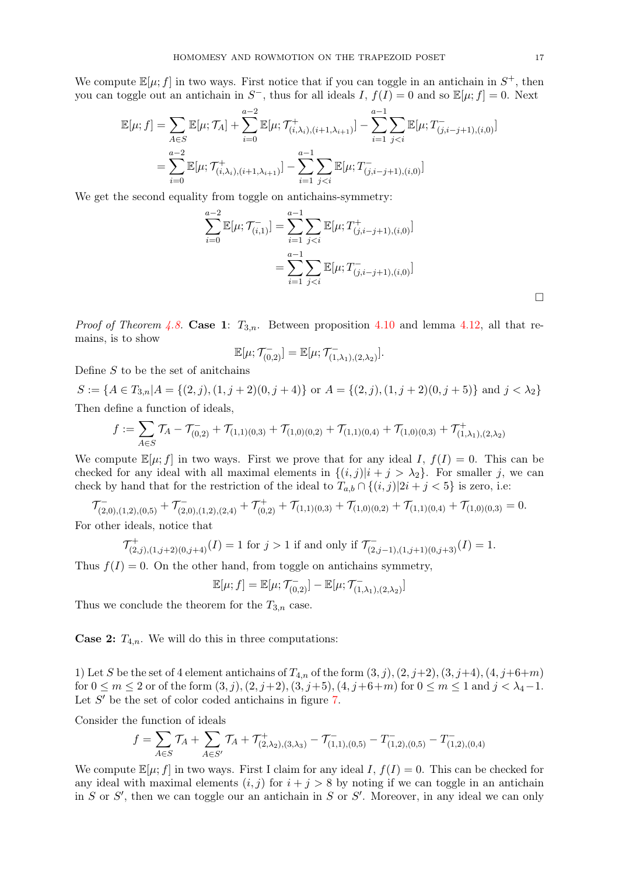We compute  $\mathbb{E}[\mu; f]$  in two ways. First notice that if you can toggle in an antichain in  $S^+$ , then you can toggle out an antichain in  $S^-$ , thus for all ideals I,  $f(I) = 0$  and so  $\mathbb{E}[\mu; f] = 0$ . Next

$$
\mathbb{E}[\mu; f] = \sum_{A \in S} \mathbb{E}[\mu; \mathcal{T}_A] + \sum_{i=0}^{a-2} \mathbb{E}[\mu; \mathcal{T}^+_{(i,\lambda_i),(i+1,\lambda_{i+1})}] - \sum_{i=1}^{a-1} \sum_{j < i} \mathbb{E}[\mu; T^-_{(j,i-j+1),(i,0)}]
$$
\n
$$
= \sum_{i=0}^{a-2} \mathbb{E}[\mu; \mathcal{T}^+_{(i,\lambda_i),(i+1,\lambda_{i+1})}] - \sum_{i=1}^{a-1} \sum_{j < i} \mathbb{E}[\mu; T^-_{(j,i-j+1),(i,0)}]
$$

We get the second equality from toggle on antichains-symmetry:

$$
\sum_{i=0}^{a-2} \mathbb{E}[\mu; \mathcal{T}_{(i,1)}^-] = \sum_{i=1}^{a-1} \sum_{j  
= 
$$
\sum_{i=1}^{a-1} \sum_{j
$$
$$

*Proof of Theorem [4.8.](#page-13-1)* Case 1:  $T_{3,n}$ . Between proposition [4.10](#page-14-0) and lemma [4.12,](#page-15-0) all that remains, is to show

$$
\mathbb{E}[\mu;\mathcal{T}_{(0,2)}^-] = \mathbb{E}[\mu;\mathcal{T}_{(1,\lambda_1),(2,\lambda_2)}^-].
$$

Define  $S$  to be the set of anitchains

 $S := \{A \in T_{3,n} | A = \{(2, j), (1, j + 2)(0, j + 4)\}$  or  $A = \{(2, j), (1, j + 2)(0, j + 5)\}$  and  $j < \lambda_2\}$ Then define a function of ideals,

$$
f := \sum_{A \in S} \mathcal{T}_A - \mathcal{T}_{(0,2)}^- + \mathcal{T}_{(1,1)(0,3)}^- + \mathcal{T}_{(1,0)(0,2)}^- + \mathcal{T}_{(1,1)(0,4)}^- + \mathcal{T}_{(1,0)(0,3)}^- + \mathcal{T}_{(1,\lambda_1),(2,\lambda_2)}^+
$$

We compute  $\mathbb{E}[\mu; f]$  in two ways. First we prove that for any ideal I,  $f(I) = 0$ . This can be checked for any ideal with all maximal elements in  $\{(i,j)|i+j>\lambda_2\}$ . For smaller j, we can check by hand that for the restriction of the ideal to  $T_{a,b} \cap \{(i,j)|2i+j<5\}$  is zero, i.e:

 $\mathcal{T}^{-}_{(2,0),(1,2),(0,5)} + \mathcal{T}^{-}_{(2,0),(1,2),(2,4)} + \mathcal{T}^{+}_{(0,2)} + \mathcal{T}_{(1,1)(0,3)} + \mathcal{T}_{(1,0)(0,2)} + \mathcal{T}_{(1,1)(0,4)} + \mathcal{T}_{(1,0)(0,3)} = 0.$ For other ideals, notice that

$$
\mathcal{T}^+_{(2,j),(1,j+2)(0,j+4)}(I) = 1 \text{ for } j > 1 \text{ if and only if } \mathcal{T}^-_{(2,j-1),(1,j+1)(0,j+3)}(I) = 1.
$$

Thus  $f(I) = 0$ . On the other hand, from toggle on antichains symmetry,

$$
\mathbb{E}[\mu; f] = \mathbb{E}[\mu; \mathcal{T}^{-}_{(0,2)}] - \mathbb{E}[\mu; \mathcal{T}^{-}_{(1,\lambda_1),(2,\lambda_2)}]
$$

Thus we conclude the theorem for the  $T_{3,n}$  case.

**Case 2:**  $T_{4,n}$ . We will do this in three computations:

1) Let S be the set of 4 element antichains of  $T_{4,n}$  of the form  $(3, j), (2, j+2), (3, j+4), (4, j+6+m)$ for  $0 \le m \le 2$  or of the form  $(3, j), (2, j+2), (3, j+5), (4, j+6+m)$  for  $0 \le m \le 1$  and  $j < \lambda_4 - 1$ . Let  $S'$  be the set of color coded antichains in figure  $7$ .

Consider the function of ideals

$$
f = \sum_{A \in S} T_A + \sum_{A \in S'} T_A + T^+_{(2,\lambda_2),(3,\lambda_3)} - T^-_{(1,1),(0,5)} - T^-_{(1,2),(0,5)} - T^-_{(1,2),(0,4)}
$$

We compute  $\mathbb{E}[\mu; f]$  in two ways. First I claim for any ideal I,  $f(I) = 0$ . This can be checked for any ideal with maximal elements  $(i, j)$  for  $i + j > 8$  by noting if we can toggle in an antichain in S or S', then we can toggle our an antichain in S or S'. Moreover, in any ideal we can only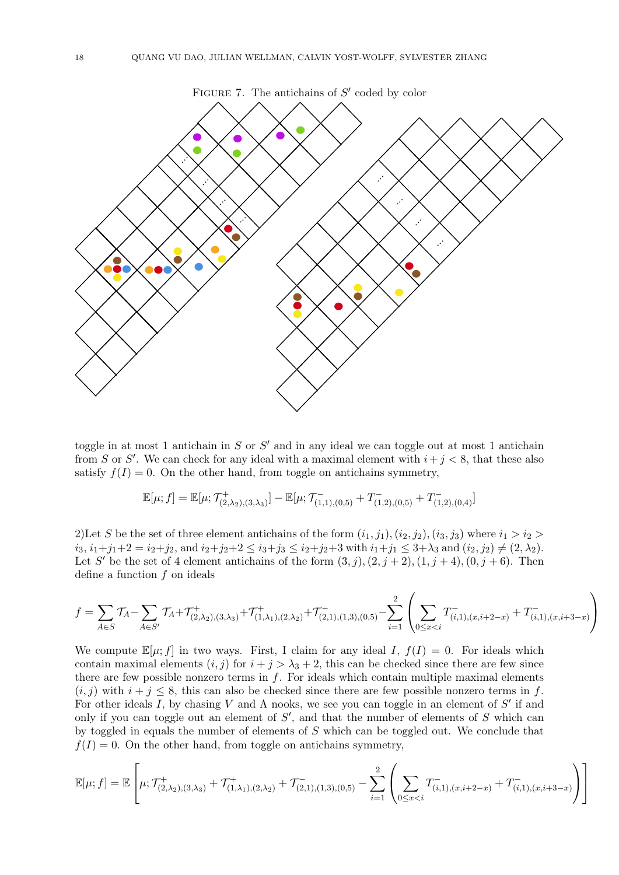<span id="page-17-0"></span>

toggle in at most 1 antichain in  $S$  or  $S'$  and in any ideal we can toggle out at most 1 antichain from S or S'. We can check for any ideal with a maximal element with  $i+j < 8$ , that these also satisfy  $f(I) = 0$ . On the other hand, from toggle on antichains symmetry,

$$
\mathbb{E}[\mu;f]=\mathbb{E}[\mu;\mathcal{T}^+_{(2,\lambda_2),(3,\lambda_3)}]-\mathbb{E}[\mu;\mathcal{T}^-_{(1,1),(0,5)}+T^-_{(1,2),(0,5)}+T^-_{(1,2),(0,4)}]
$$

2) Let S be the set of three element antichains of the form  $(i_1, j_1), (i_2, j_2), (i_3, j_3)$  where  $i_1 > i_2$  $i_3, i_1+j_1+2 = i_2+j_2$ , and  $i_2+j_2+2 \leq i_3+j_3 \leq i_2+j_2+3$  with  $i_1+j_1 \leq 3+\lambda_3$  and  $(i_2, j_2) \neq (2, \lambda_2)$ . Let S' be the set of 4 element antichains of the form  $(3, j), (2, j + 2), (1, j + 4), (0, j + 6)$ . Then define a function f on ideals

$$
f = \sum_{A \in S} \mathcal{T}_A - \sum_{A \in S'} \mathcal{T}_A + \mathcal{T}^+_{(2,\lambda_2),(3,\lambda_3)} + \mathcal{T}^+_{(1,\lambda_1),(2,\lambda_2)} + \mathcal{T}^-_{(2,1),(1,3),(0,5)} - \sum_{i=1}^2 \left( \sum_{0 \le x < i} T^-_{(i,1),(x,i+2-x)} + T^-_{(i,1),(x,i+3-x)} \right)
$$

We compute  $\mathbb{E}[\mu; f]$  in two ways. First, I claim for any ideal I,  $f(I) = 0$ . For ideals which contain maximal elements  $(i, j)$  for  $i + j > \lambda_3 + 2$ , this can be checked since there are few since there are few possible nonzero terms in  $f$ . For ideals which contain multiple maximal elements  $(i, j)$  with  $i + j \leq 8$ , this can also be checked since there are few possible nonzero terms in f. For other ideals I, by chasing V and  $\Lambda$  nooks, we see you can toggle in an element of S' if and only if you can toggle out an element of  $S'$ , and that the number of elements of  $S$  which can by toggled in equals the number of elements of S which can be toggled out. We conclude that  $f(I) = 0$ . On the other hand, from toggle on antichains symmetry,

$$
\mathbb{E}[\mu; f] = \mathbb{E}\left[\mu; \mathcal{T}^+_{(2,\lambda_2),(3,\lambda_3)} + \mathcal{T}^+_{(1,\lambda_1),(2,\lambda_2)} + \mathcal{T}^-_{(2,1),(1,3),(0,5)} - \sum_{i=1}^2 \left( \sum_{0 \le x < i} T^-_{(i,1),(x,i+2-x)} + T^-_{(i,1),(x,i+3-x)} \right) \right]
$$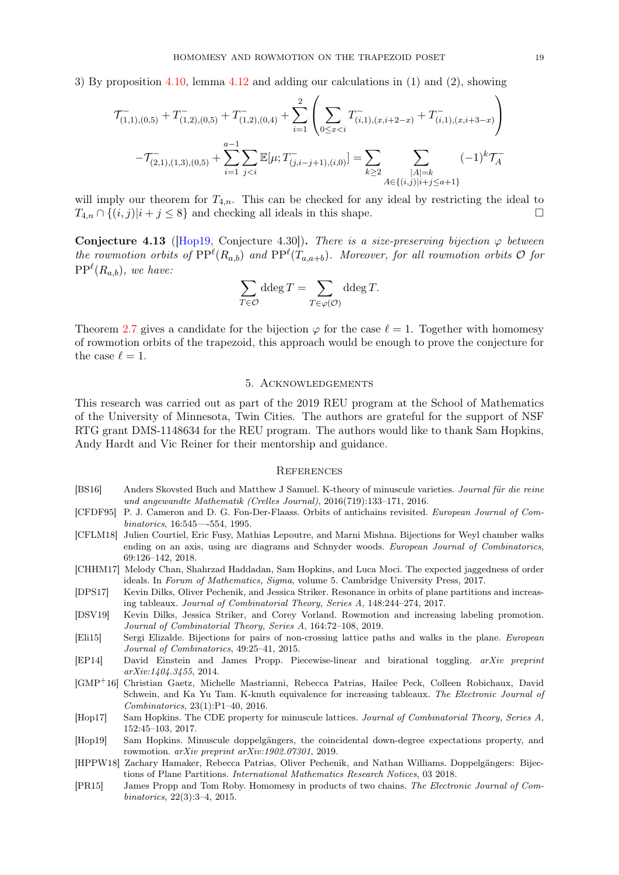3) By proposition [4.10,](#page-14-0) lemma [4.12](#page-15-0) and adding our calculations in (1) and (2), showing

$$
\mathcal{T}_{(1,1),(0,5)}^{-} + T_{(1,2),(0,5)}^{-} + T_{(1,2),(0,4)}^{-} + \sum_{i=1}^{2} \left( \sum_{0 \le x < i} T_{(i,1),(x,i+2-x)}^{-} + T_{(i,1),(x,i+3-x)}^{-} \right)
$$

$$
- \mathcal{T}_{(2,1),(1,3),(0,5)}^{-} + \sum_{i=1}^{a-1} \sum_{j < i} \mathbb{E}[\mu; T_{(j,i-j+1),(i,0)}^{-}] = \sum_{k \ge 2} \sum_{\substack{|A| = k \\ A \in \{(i,j)|i+j \le a+1\}}} (-1)^{k} \mathcal{T}_{A}^{-}
$$

will imply our theorem for  $T_{4,n}$ . This can be checked for any ideal by restricting the ideal to  $T_{4,n} \cap \{(i,j)|i+j \leq 8\}$  and checking all ideals in this shape.

Conjecture 4.13 ( $[Hop19, Conjecture 4.30]$  $[Hop19, Conjecture 4.30]$ ). There is a size-preserving bijection  $\varphi$  between the rowmotion orbits of  $PP^{\ell}(R_{a,b})$  and  $PP^{\ell}(T_{a,a+b})$ . Moreover, for all rowmotion orbits  $\mathcal O$  for  $PP^{\ell}(R_{a,b}),$  we have:

$$
\sum_{T \in \mathcal{O}} \text{ddeg}\, T = \sum_{T \in \varphi(\mathcal{O})} \text{ddeg}\, T.
$$

Theorem [2.7](#page-2-0) gives a candidate for the bijection  $\varphi$  for the case  $\ell = 1$ . Together with homomesy of rowmotion orbits of the trapezoid, this approach would be enough to prove the conjecture for the case  $\ell = 1$ .

# 5. Acknowledgements

This research was carried out as part of the 2019 REU program at the School of Mathematics of the University of Minnesota, Twin Cities. The authors are grateful for the support of NSF RTG grant DMS-1148634 for the REU program. The authors would like to thank Sam Hopkins, Andy Hardt and Vic Reiner for their mentorship and guidance.

### **REFERENCES**

- <span id="page-18-4"></span>[BS16] Anders Skovsted Buch and Matthew J Samuel. K-theory of minuscule varieties. Journal für die reine und angewandte Mathematik (Crelles Journal), 2016(719):133–171, 2016.
- <span id="page-18-6"></span>[CFDF95] P. J. Cameron and D. G. Fon-Der-Flaass. Orbits of antichains revisited. European Journal of Combinatorics, 16:545—-554, 1995.
- [CFLM18] Julien Courtiel, Eric Fusy, Mathias Lepoutre, and Marni Mishna. Bijections for Weyl chamber walks ending on an axis, using arc diagrams and Schnyder woods. European Journal of Combinatorics, 69:126–142, 2018.
- <span id="page-18-8"></span>[CHHM17] Melody Chan, Shahrzad Haddadan, Sam Hopkins, and Luca Moci. The expected jaggedness of order ideals. In Forum of Mathematics, Sigma, volume 5. Cambridge University Press, 2017.
- <span id="page-18-3"></span>[DPS17] Kevin Dilks, Oliver Pechenik, and Jessica Striker. Resonance in orbits of plane partitions and increasing tableaux. Journal of Combinatorial Theory, Series A, 148:244–274, 2017.
- <span id="page-18-5"></span>[DSV19] Kevin Dilks, Jessica Striker, and Corey Vorland. Rowmotion and increasing labeling promotion. Journal of Combinatorial Theory, Series A, 164:72–108, 2019.
- [Eli15] Sergi Elizalde. Bijections for pairs of non-crossing lattice paths and walks in the plane. European Journal of Combinatorics, 49:25–41, 2015.
- [EP14] David Einstein and James Propp. Piecewise-linear and birational toggling. arXiv preprint arXiv:1404.3455, 2014.
- [GMP<sup>+</sup>16] Christian Gaetz, Michelle Mastrianni, Rebecca Patrias, Hailee Peck, Colleen Robichaux, David Schwein, and Ka Yu Tam. K-knuth equivalence for increasing tableaux. The Electronic Journal of Combinatorics, 23(1):P1–40, 2016.
- <span id="page-18-7"></span>[Hop17] Sam Hopkins. The CDE property for minuscule lattices. Journal of Combinatorial Theory, Series A, 152:45–103, 2017.
- <span id="page-18-0"></span>[Hop19] Sam Hopkins. Minuscule doppelgängers, the coincidental down-degree expectations property, and rowmotion. arXiv preprint arXiv:1902.07301, 2019.
- <span id="page-18-2"></span>[HPPW18] Zachary Hamaker, Rebecca Patrias, Oliver Pechenik, and Nathan Williams. Doppelgängers: Bijections of Plane Partitions. International Mathematics Research Notices, 03 2018.
- <span id="page-18-1"></span>[PR15] James Propp and Tom Roby. Homomesy in products of two chains. The Electronic Journal of Combinatorics, 22(3):3–4, 2015.